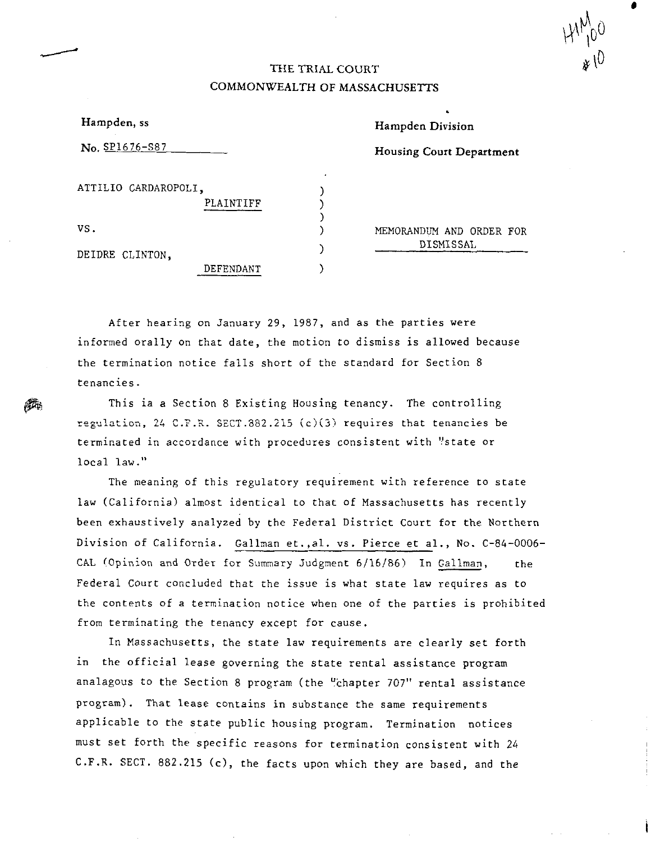## THE TRIAL COURT COMMONWEALTH OF MASSACHUSETTS

| Hampden, ss                       |   | Hampden Division   |
|-----------------------------------|---|--------------------|
| $\mathbf{No.}$ SP1676-S87         |   | Housing Court Depa |
| ATTILIO CARDAROPOLI,<br>PLAINTIFF | ٠ |                    |
| VS.                               |   | MEMORANDUM AND OF  |
| DEIDRE CLINTON,                   |   | DISMISSAL          |

---

**@4** 

MEMORANDUM AND ORDER FOR

**Housing Court** Department

After hearing on January 29, 1987, and as the parties were informed orally on that date, the motion *to* dismiss *is* allowed because the termination notice falls short of the standard for Section 8 tenancies.

DEFENDANT )

This ia a Section 8 Existing Housing tenancy. The controlling regulation, 24 C.F.R. SECT.382.215 (c)(3) requires that tenancies be terminated in accordance with procedures consistent with "state or local law."

The meaning of this regulatory requirement with reference to state law (California) almost identical to that of Massachusetts has recently been exhaustively analyzed by the Federal District Court for the Northern Division of California. Gallman et.,al. vs. Pierce et al., No. C-84-0006- GAL (Opinion and Order for Summary Judgment 6/16/86) In Gallman, the Federal Court concluded that the issue is what state law requires as to the contents of a termination notice when one of the parties is prohibited from terminating the tenancy except for cause.

In Massachusetts, the state law requirements are clearly set forth in the official lease governing the state rental assistance program analagous to the Section 8 program (the "chapter 707" rental assistance program). That lease contains in substance the same requirements applicable to the state public housing program. Termination notices must set forth the specific reasons for termination consistent with *24*  C.F.R. SECT. 882.215 (c), the facts upon which they are based, and the